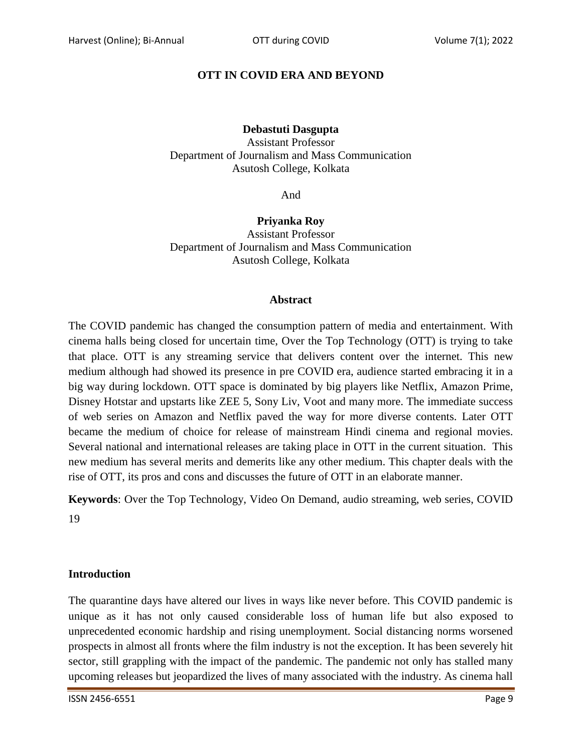# **OTT IN COVID ERA AND BEYOND**

### **Debastuti Dasgupta**

Assistant Professor Department of Journalism and Mass Communication Asutosh College, Kolkata

And

**Priyanka Roy** Assistant Professor Department of Journalism and Mass Communication Asutosh College, Kolkata

#### **Abstract**

The COVID pandemic has changed the consumption pattern of media and entertainment. With cinema halls being closed for uncertain time, Over the Top Technology (OTT) is trying to take that place. OTT is any streaming service that delivers content over the internet. This new medium although had showed its presence in pre COVID era, audience started embracing it in a big way during lockdown. OTT space is dominated by big players like Netflix, Amazon Prime, Disney Hotstar and upstarts like ZEE 5, Sony Liv, Voot and many more. The immediate success of web series on Amazon and Netflix paved the way for more diverse contents. Later OTT became the medium of choice for release of mainstream Hindi cinema and regional movies. Several national and international releases are taking place in OTT in the current situation. This new medium has several merits and demerits like any other medium. This chapter deals with the rise of OTT, its pros and cons and discusses the future of OTT in an elaborate manner.

**Keywords**: Over the Top Technology, Video On Demand, audio streaming, web series, COVID 19

### **Introduction**

The quarantine days have altered our lives in ways like never before. This COVID pandemic is unique as it has not only caused considerable loss of human life but also exposed to unprecedented economic hardship and rising unemployment. Social distancing norms worsened prospects in almost all fronts where the film industry is not the exception. It has been severely hit sector, still grappling with the impact of the pandemic. The pandemic not only has stalled many upcoming releases but jeopardized the lives of many associated with the industry. As cinema hall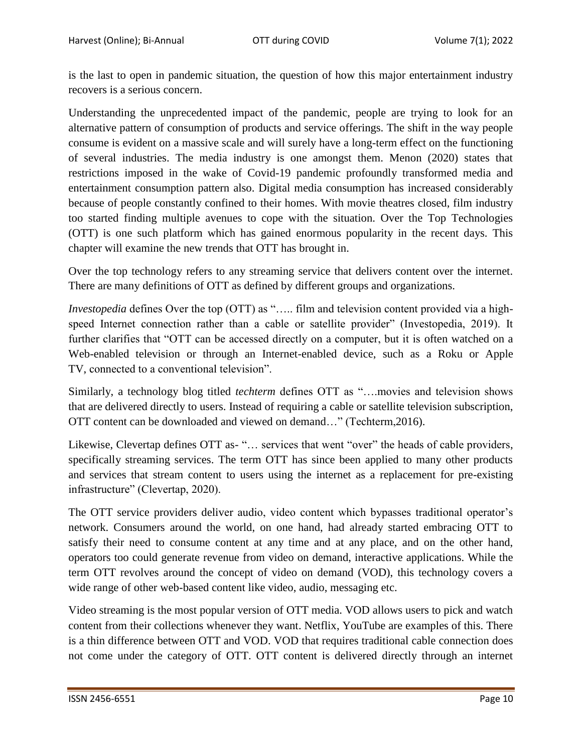is the last to open in pandemic situation, the question of how this major entertainment industry recovers is a serious concern.

Understanding the unprecedented impact of the pandemic, people are trying to look for an alternative pattern of consumption of products and service offerings. The shift in the way people consume is evident on a massive scale and will surely have a long-term effect on the functioning of several industries. The media industry is one amongst them. Menon (2020) states that restrictions imposed in the wake of Covid-19 pandemic profoundly transformed media and entertainment consumption pattern also. Digital media consumption has increased considerably because of people constantly confined to their homes. With movie theatres closed, film industry too started finding multiple avenues to cope with the situation. Over the Top Technologies (OTT) is one such platform which has gained enormous popularity in the recent days. This chapter will examine the new trends that OTT has brought in.

Over the top technology refers to any streaming service that delivers content over the internet. There are many definitions of OTT as defined by different groups and organizations.

*Investopedia* defines Over the top (OTT) as "..... film and television content provided via a highspeed Internet connection rather than a cable or satellite provider" (Investopedia, 2019). It further clarifies that "OTT can be accessed directly on a computer, but it is often watched on a Web-enabled television or through an Internet-enabled device, such as a Roku or Apple TV, connected to a conventional television".

Similarly, a technology blog titled *techterm* defines OTT as "….movies and television shows that are delivered directly to users. Instead of requiring a cable or satellite television subscription, OTT content can be downloaded and viewed on demand…" (Techterm,2016).

Likewise, Clevertap defines OTT as- "… services that went "over" the heads of cable providers, specifically streaming services. The term OTT has since been applied to many other products and services that stream content to users using the internet as a replacement for pre-existing infrastructure" (Clevertap, 2020).

The OTT service providers deliver audio, video content which bypasses traditional operator's network. Consumers around the world, on one hand, had already started embracing OTT to satisfy their need to consume content at any time and at any place, and on the other hand, operators too could generate revenue from video on demand, interactive applications. While the term OTT revolves around the concept of video on demand (VOD), this technology covers a wide range of other web-based content like video, audio, messaging etc.

Video streaming is the most popular version of OTT media. VOD allows users to pick and watch content from their collections whenever they want. Netflix, YouTube are examples of this. There is a thin difference between OTT and VOD. VOD that requires traditional cable connection does not come under the category of OTT. OTT content is delivered directly through an internet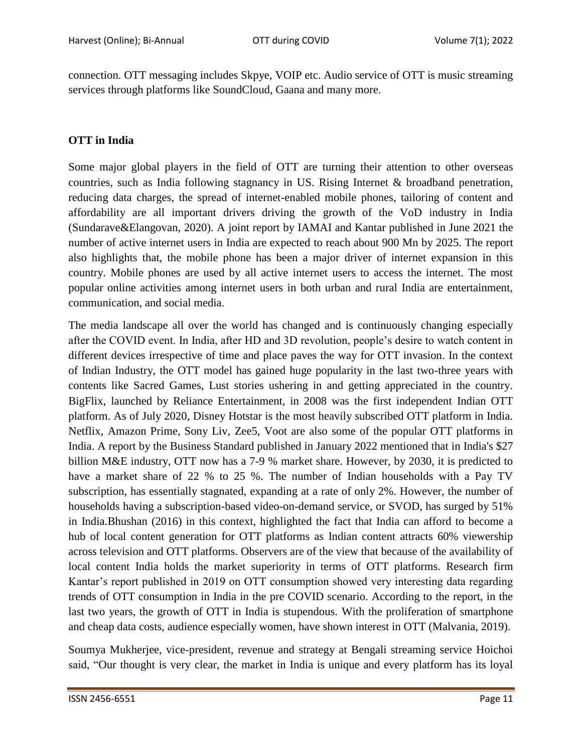connection. OTT messaging includes Skpye, VOIP etc. Audio service of OTT is music streaming services through platforms like SoundCloud, Gaana and many more.

## **OTT in India**

Some major global players in the field of OTT are turning their attention to other overseas countries, such as India following stagnancy in US. Rising Internet & broadband penetration, reducing data charges, the spread of internet-enabled mobile phones, tailoring of content and affordability are all important drivers driving the growth of the VoD industry in India (Sundarave&Elangovan, 2020). A joint report by IAMAI and Kantar published in June 2021 the number of active internet users in India are expected to reach about 900 Mn by 2025. The report also highlights that, the mobile phone has been a major driver of internet expansion in this country. Mobile phones are used by all active internet users to access the internet. The most popular online activities among internet users in both urban and rural India are entertainment, communication, and social media.

The media landscape all over the world has changed and is continuously changing especially after the COVID event. In India, after HD and 3D revolution, people"s desire to watch content in different devices irrespective of time and place paves the way for OTT invasion. In the context of Indian Industry, the OTT model has gained huge popularity in the last two-three years with contents like Sacred Games, Lust stories ushering in and getting appreciated in the country. BigFlix, launched by Reliance Entertainment, in 2008 was the first independent Indian OTT platform. As of July 2020, Disney Hotstar is the most heavily subscribed OTT platform in India. Netflix, Amazon Prime, Sony Liv, Zee5, Voot are also some of the popular OTT platforms in India. A report by the Business Standard published in January 2022 mentioned that in India's \$27 billion M&E industry, OTT now has a 7-9 % market share. However, by 2030, it is predicted to have a market share of 22 % to 25 %. The number of Indian households with a Pay TV subscription, has essentially stagnated, expanding at a rate of only 2%. However, the number of households having a subscription-based video-on-demand service, or SVOD, has surged by 51% in India.Bhushan (2016) in this context, highlighted the fact that India can afford to become a hub of local content generation for OTT platforms as Indian content attracts 60% viewership across television and OTT platforms. Observers are of the view that because of the availability of local content India holds the market superiority in terms of OTT platforms. Research firm Kantar's report published in 2019 on OTT consumption showed very interesting data regarding trends of OTT consumption in India in the pre COVID scenario. According to the report, in the last two years, the growth of OTT in India is stupendous. With the proliferation of smartphone and cheap data costs, audience especially women, have shown interest in OTT (Malvania, 2019).

Soumya Mukherjee, vice-president, revenue and strategy at Bengali streaming service Hoichoi said, "Our thought is very clear, the market in India is unique and every platform has its loyal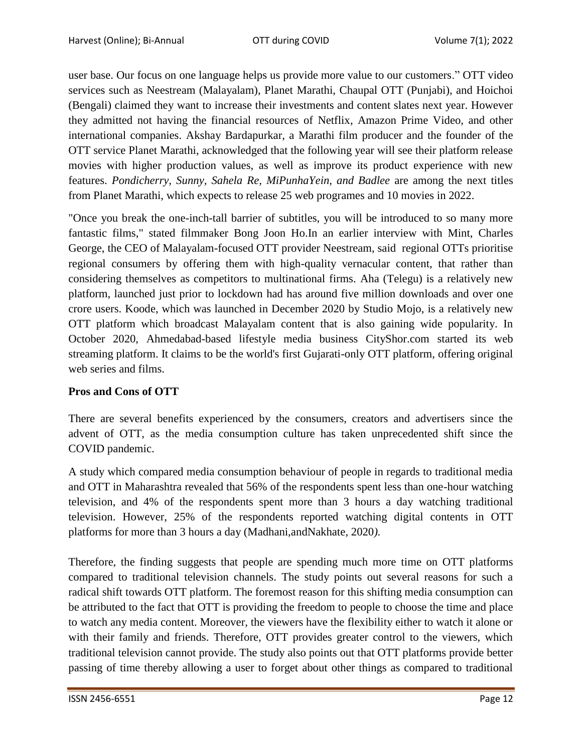user base. Our focus on one language helps us provide more value to our customers." OTT video services such as Neestream (Malayalam), Planet Marathi, Chaupal OTT (Punjabi), and Hoichoi (Bengali) claimed they want to increase their investments and content slates next year. However they admitted not having the financial resources of Netflix, Amazon Prime Video, and other international companies. Akshay Bardapurkar, a Marathi film producer and the founder of the OTT service Planet Marathi, acknowledged that the following year will see their platform release movies with higher production values, as well as improve its product experience with new features. *Pondicherry, Sunny, Sahela Re, MiPunhaYein, and Badlee* are among the next titles from Planet Marathi, which expects to release 25 web programes and 10 movies in 2022.

"Once you break the one-inch-tall barrier of subtitles, you will be introduced to so many more fantastic films," stated filmmaker Bong Joon Ho.In an earlier interview with Mint, Charles George, the CEO of Malayalam-focused OTT provider Neestream, said regional OTTs prioritise regional consumers by offering them with high-quality vernacular content, that rather than considering themselves as competitors to multinational firms. Aha (Telegu) is a relatively new platform, launched just prior to lockdown had has around five million downloads and over one crore users. Koode, which was launched in December 2020 by Studio Mojo, is a relatively new OTT platform which broadcast Malayalam content that is also gaining wide popularity. In October 2020, Ahmedabad-based lifestyle media business CityShor.com started its web streaming platform. It claims to be the world's first Gujarati-only OTT platform, offering original web series and films.

### **Pros and Cons of OTT**

There are several benefits experienced by the consumers, creators and advertisers since the advent of OTT, as the media consumption culture has taken unprecedented shift since the COVID pandemic.

A study which compared media consumption behaviour of people in regards to traditional media and OTT in Maharashtra revealed that 56% of the respondents spent less than one-hour watching television, and 4% of the respondents spent more than 3 hours a day watching traditional television. However, 25% of the respondents reported watching digital contents in OTT platforms for more than 3 hours a day (Madhani,andNakhate*,* 2020*).* 

Therefore, the finding suggests that people are spending much more time on OTT platforms compared to traditional television channels. The study points out several reasons for such a radical shift towards OTT platform. The foremost reason for this shifting media consumption can be attributed to the fact that OTT is providing the freedom to people to choose the time and place to watch any media content. Moreover, the viewers have the flexibility either to watch it alone or with their family and friends. Therefore, OTT provides greater control to the viewers, which traditional television cannot provide. The study also points out that OTT platforms provide better passing of time thereby allowing a user to forget about other things as compared to traditional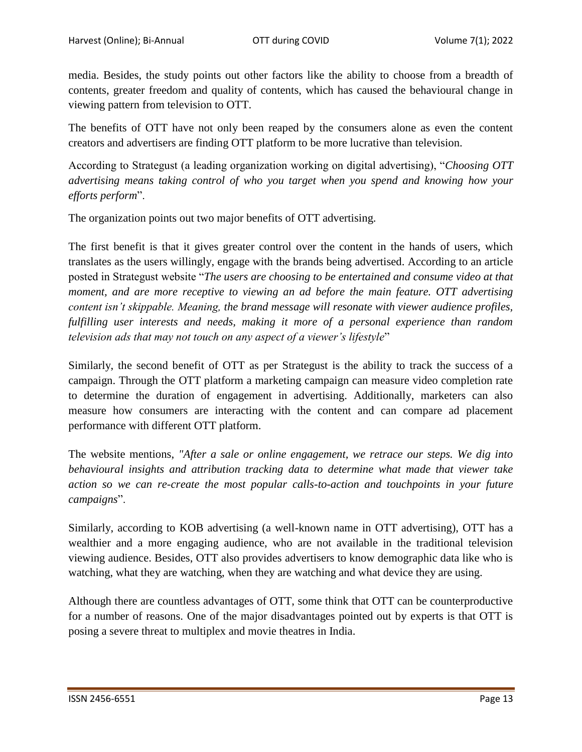media. Besides, the study points out other factors like the ability to choose from a breadth of contents, greater freedom and quality of contents, which has caused the behavioural change in viewing pattern from television to OTT.

The benefits of OTT have not only been reaped by the consumers alone as even the content creators and advertisers are finding OTT platform to be more lucrative than television.

According to Strategust (a leading organization working on digital advertising), "*Choosing OTT advertising means taking control of who you target when you spend and knowing how your efforts perform*".

The organization points out two major benefits of OTT advertising.

The first benefit is that it gives greater control over the content in the hands of users, which translates as the users willingly, engage with the brands being advertised. According to an article posted in Strategust website "*The users are choosing to be entertained and consume video at that moment, and are more receptive to viewing an ad before the main feature. OTT advertising content isn't skippable. Meaning, the brand message will resonate with viewer audience profiles, fulfilling user interests and needs, making it more of a personal experience than random television ads that may not touch on any aspect of a viewer's lifestyle*"

Similarly, the second benefit of OTT as per Strategust is the ability to track the success of a campaign. Through the OTT platform a marketing campaign can measure video completion rate to determine the duration of engagement in advertising. Additionally, marketers can also measure how consumers are interacting with the content and can compare ad placement performance with different OTT platform.

The website mentions, *"After a sale or online engagement, we retrace our steps. We dig into behavioural insights and attribution tracking data to determine what made that viewer take action so we can re-create the most popular calls-to-action and touchpoints in your future campaigns*".

Similarly, according to KOB advertising (a well-known name in OTT advertising), OTT has a wealthier and a more engaging audience, who are not available in the traditional television viewing audience. Besides, OTT also provides advertisers to know demographic data like who is watching, what they are watching, when they are watching and what device they are using.

Although there are countless advantages of OTT, some think that OTT can be counterproductive for a number of reasons. One of the major disadvantages pointed out by experts is that OTT is posing a severe threat to multiplex and movie theatres in India.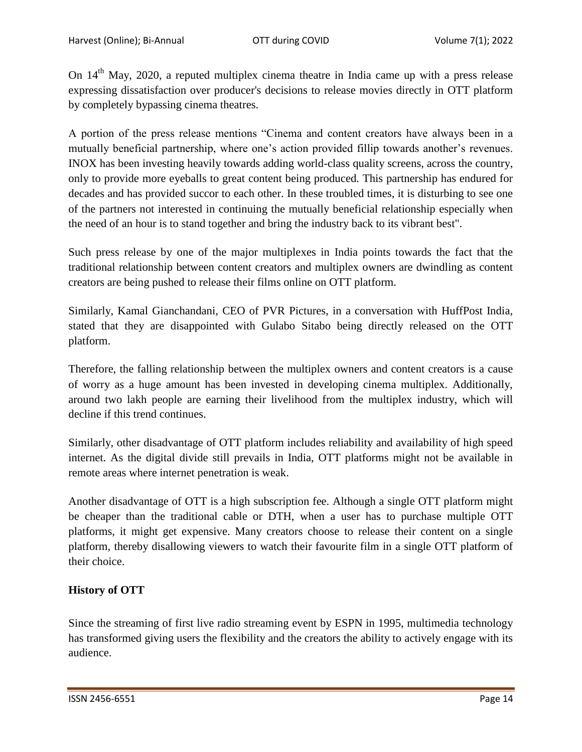On 14<sup>th</sup> May, 2020, a reputed multiplex cinema theatre in India came up with a press release expressing dissatisfaction over producer's decisions to release movies directly in OTT platform by completely bypassing cinema theatres.

A portion of the press release mentions "Cinema and content creators have always been in a mutually beneficial partnership, where one's action provided fillip towards another's revenues. INOX has been investing heavily towards adding world-class quality screens, across the country, only to provide more eyeballs to great content being produced. This partnership has endured for decades and has provided succor to each other. In these troubled times, it is disturbing to see one of the partners not interested in continuing the mutually beneficial relationship especially when the need of an hour is to stand together and bring the industry back to its vibrant best".

Such press release by one of the major multiplexes in India points towards the fact that the traditional relationship between content creators and multiplex owners are dwindling as content creators are being pushed to release their films online on OTT platform.

Similarly, Kamal Gianchandani, CEO of PVR Pictures, in a conversation with HuffPost India, stated that they are disappointed with Gulabo Sitabo being directly released on the OTT platform.

Therefore, the falling relationship between the multiplex owners and content creators is a cause of worry as a huge amount has been invested in developing cinema multiplex. Additionally, around two lakh people are earning their livelihood from the multiplex industry, which will decline if this trend continues.

Similarly, other disadvantage of OTT platform includes reliability and availability of high speed internet. As the digital divide still prevails in India, OTT platforms might not be available in remote areas where internet penetration is weak.

Another disadvantage of OTT is a high subscription fee. Although a single OTT platform might be cheaper than the traditional cable or DTH, when a user has to purchase multiple OTT platforms, it might get expensive. Many creators choose to release their content on a single platform, thereby disallowing viewers to watch their favourite film in a single OTT platform of their choice.

# **History of OTT**

Since the streaming of first live radio streaming event by ESPN in 1995, multimedia technology has transformed giving users the flexibility and the creators the ability to actively engage with its audience.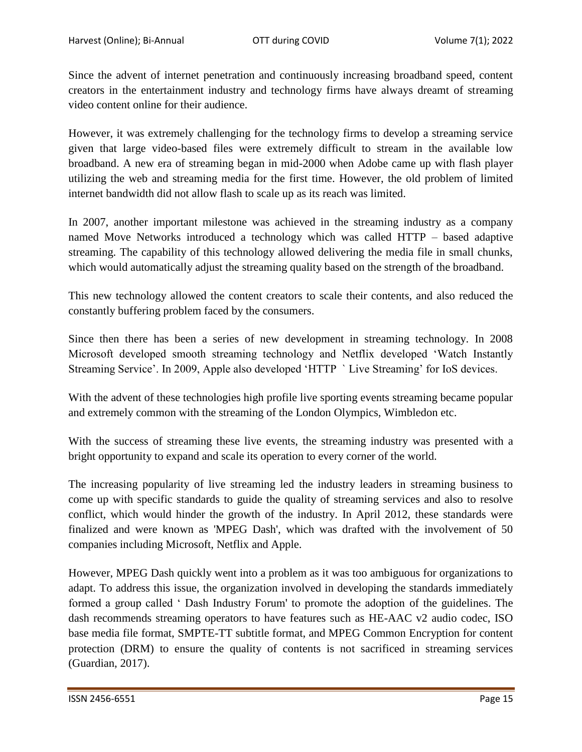Since the advent of internet penetration and continuously increasing broadband speed, content creators in the entertainment industry and technology firms have always dreamt of streaming video content online for their audience.

However, it was extremely challenging for the technology firms to develop a streaming service given that large video-based files were extremely difficult to stream in the available low broadband. A new era of streaming began in mid-2000 when Adobe came up with flash player utilizing the web and streaming media for the first time. However, the old problem of limited internet bandwidth did not allow flash to scale up as its reach was limited.

In 2007, another important milestone was achieved in the streaming industry as a company named Move Networks introduced a technology which was called HTTP – based adaptive streaming. The capability of this technology allowed delivering the media file in small chunks, which would automatically adjust the streaming quality based on the strength of the broadband.

This new technology allowed the content creators to scale their contents, and also reduced the constantly buffering problem faced by the consumers.

Since then there has been a series of new development in streaming technology. In 2008 Microsoft developed smooth streaming technology and Netflix developed "Watch Instantly Streaming Service'. In 2009, Apple also developed 'HTTP ' Live Streaming' for IoS devices.

With the advent of these technologies high profile live sporting events streaming became popular and extremely common with the streaming of the London Olympics, Wimbledon etc.

With the success of streaming these live events, the streaming industry was presented with a bright opportunity to expand and scale its operation to every corner of the world.

The increasing popularity of live streaming led the industry leaders in streaming business to come up with specific standards to guide the quality of streaming services and also to resolve conflict, which would hinder the growth of the industry. In April 2012, these standards were finalized and were known as 'MPEG Dash', which was drafted with the involvement of 50 companies including Microsoft, Netflix and Apple.

However, MPEG Dash quickly went into a problem as it was too ambiguous for organizations to adapt. To address this issue, the organization involved in developing the standards immediately formed a group called " Dash Industry Forum' to promote the adoption of the guidelines. The dash recommends streaming operators to have features such as HE-AAC v2 audio codec, ISO base media file format, SMPTE-TT subtitle format, and MPEG Common Encryption for content protection (DRM) to ensure the quality of contents is not sacrificed in streaming services (Guardian, 2017).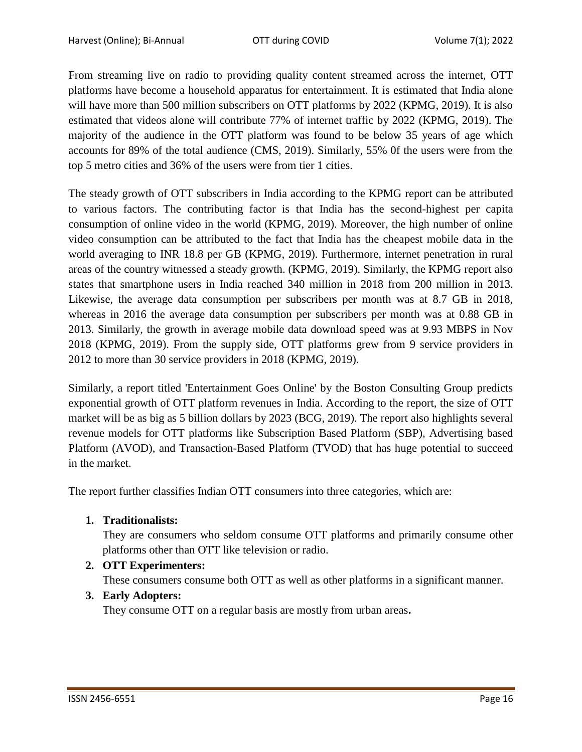From streaming live on radio to providing quality content streamed across the internet, OTT platforms have become a household apparatus for entertainment. It is estimated that India alone will have more than 500 million subscribers on OTT platforms by 2022 (KPMG, 2019). It is also estimated that videos alone will contribute 77% of internet traffic by 2022 (KPMG, 2019). The majority of the audience in the OTT platform was found to be below 35 years of age which accounts for 89% of the total audience (CMS, 2019). Similarly, 55% 0f the users were from the top 5 metro cities and 36% of the users were from tier 1 cities.

The steady growth of OTT subscribers in India according to the KPMG report can be attributed to various factors. The contributing factor is that India has the second-highest per capita consumption of online video in the world (KPMG, 2019). Moreover, the high number of online video consumption can be attributed to the fact that India has the cheapest mobile data in the world averaging to INR 18.8 per GB (KPMG, 2019). Furthermore, internet penetration in rural areas of the country witnessed a steady growth. (KPMG, 2019). Similarly, the KPMG report also states that smartphone users in India reached 340 million in 2018 from 200 million in 2013. Likewise, the average data consumption per subscribers per month was at 8.7 GB in 2018, whereas in 2016 the average data consumption per subscribers per month was at 0.88 GB in 2013. Similarly, the growth in average mobile data download speed was at 9.93 MBPS in Nov 2018 (KPMG, 2019). From the supply side, OTT platforms grew from 9 service providers in 2012 to more than 30 service providers in 2018 (KPMG, 2019).

Similarly, a report titled 'Entertainment Goes Online' by the Boston Consulting Group predicts exponential growth of OTT platform revenues in India. According to the report, the size of OTT market will be as big as 5 billion dollars by 2023 (BCG, 2019). The report also highlights several revenue models for OTT platforms like Subscription Based Platform (SBP), Advertising based Platform (AVOD), and Transaction-Based Platform (TVOD) that has huge potential to succeed in the market.

The report further classifies Indian OTT consumers into three categories, which are:

**1. Traditionalists:**

They are consumers who seldom consume OTT platforms and primarily consume other platforms other than OTT like television or radio.

**2. OTT Experimenters:**

These consumers consume both OTT as well as other platforms in a significant manner.

**3. Early Adopters:** 

They consume OTT on a regular basis are mostly from urban areas**.**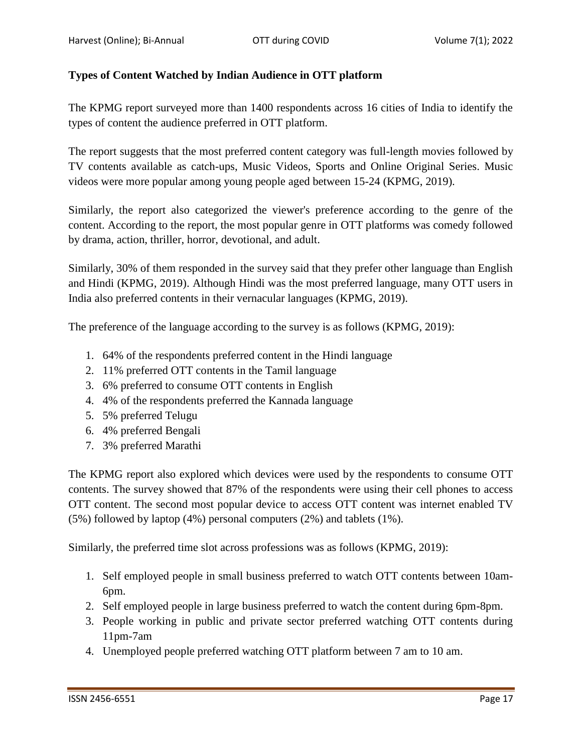## **Types of Content Watched by Indian Audience in OTT platform**

The KPMG report surveyed more than 1400 respondents across 16 cities of India to identify the types of content the audience preferred in OTT platform.

The report suggests that the most preferred content category was full-length movies followed by TV contents available as catch-ups, Music Videos, Sports and Online Original Series. Music videos were more popular among young people aged between 15-24 (KPMG, 2019).

Similarly, the report also categorized the viewer's preference according to the genre of the content. According to the report, the most popular genre in OTT platforms was comedy followed by drama, action, thriller, horror, devotional, and adult.

Similarly, 30% of them responded in the survey said that they prefer other language than English and Hindi (KPMG, 2019). Although Hindi was the most preferred language, many OTT users in India also preferred contents in their vernacular languages (KPMG, 2019).

The preference of the language according to the survey is as follows (KPMG, 2019):

- 1. 64% of the respondents preferred content in the Hindi language
- 2. 11% preferred OTT contents in the Tamil language
- 3. 6% preferred to consume OTT contents in English
- 4. 4% of the respondents preferred the Kannada language
- 5. 5% preferred Telugu
- 6. 4% preferred Bengali
- 7. 3% preferred Marathi

The KPMG report also explored which devices were used by the respondents to consume OTT contents. The survey showed that 87% of the respondents were using their cell phones to access OTT content. The second most popular device to access OTT content was internet enabled TV (5%) followed by laptop (4%) personal computers (2%) and tablets (1%).

Similarly, the preferred time slot across professions was as follows (KPMG, 2019):

- 1. Self employed people in small business preferred to watch OTT contents between 10am-6pm.
- 2. Self employed people in large business preferred to watch the content during 6pm-8pm.
- 3. People working in public and private sector preferred watching OTT contents during 11pm-7am
- 4. Unemployed people preferred watching OTT platform between 7 am to 10 am.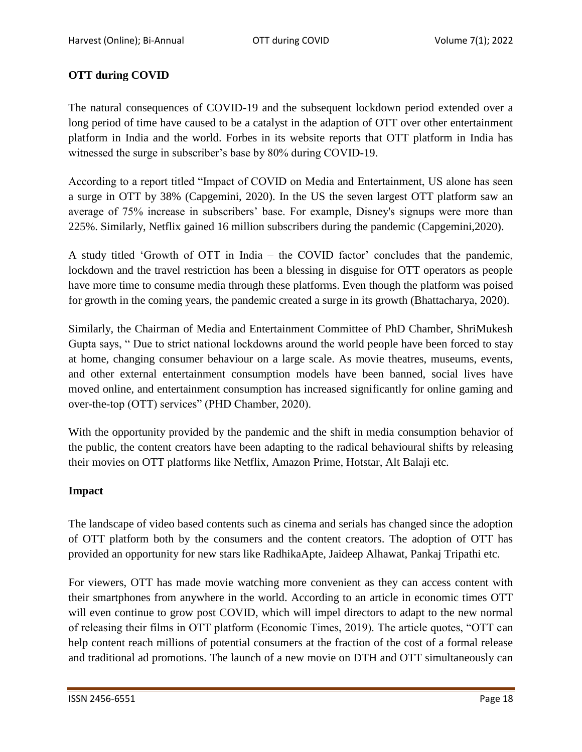# **OTT during COVID**

The natural consequences of COVID-19 and the subsequent lockdown period extended over a long period of time have caused to be a catalyst in the adaption of OTT over other entertainment platform in India and the world. Forbes in its website reports that OTT platform in India has witnessed the surge in subscriber's base by 80% during COVID-19.

According to a report titled "Impact of COVID on Media and Entertainment, US alone has seen a surge in OTT by 38% (Capgemini, 2020). In the US the seven largest OTT platform saw an average of 75% increase in subscribers' base. For example, Disney's signups were more than 225%. Similarly, Netflix gained 16 million subscribers during the pandemic (Capgemini,2020).

A study titled 'Growth of OTT in India – the COVID factor' concludes that the pandemic, lockdown and the travel restriction has been a blessing in disguise for OTT operators as people have more time to consume media through these platforms. Even though the platform was poised for growth in the coming years, the pandemic created a surge in its growth (Bhattacharya, 2020).

Similarly, the Chairman of Media and Entertainment Committee of PhD Chamber, ShriMukesh Gupta says, " Due to strict national lockdowns around the world people have been forced to stay at home, changing consumer behaviour on a large scale. As movie theatres, museums, events, and other external entertainment consumption models have been banned, social lives have moved online, and entertainment consumption has increased significantly for online gaming and over-the-top (OTT) services" (PHD Chamber, 2020).

With the opportunity provided by the pandemic and the shift in media consumption behavior of the public, the content creators have been adapting to the radical behavioural shifts by releasing their movies on OTT platforms like Netflix, Amazon Prime, Hotstar, Alt Balaji etc.

### **Impact**

The landscape of video based contents such as cinema and serials has changed since the adoption of OTT platform both by the consumers and the content creators. The adoption of OTT has provided an opportunity for new stars like RadhikaApte, Jaideep Alhawat, Pankaj Tripathi etc.

For viewers, OTT has made movie watching more convenient as they can access content with their smartphones from anywhere in the world. According to an article in economic times OTT will even continue to grow post COVID, which will impel directors to adapt to the new normal of releasing their films in OTT platform (Economic Times, 2019). The article quotes, "OTT can help content reach millions of potential consumers at the fraction of the cost of a formal release and traditional ad promotions. The launch of a new movie on DTH and OTT simultaneously can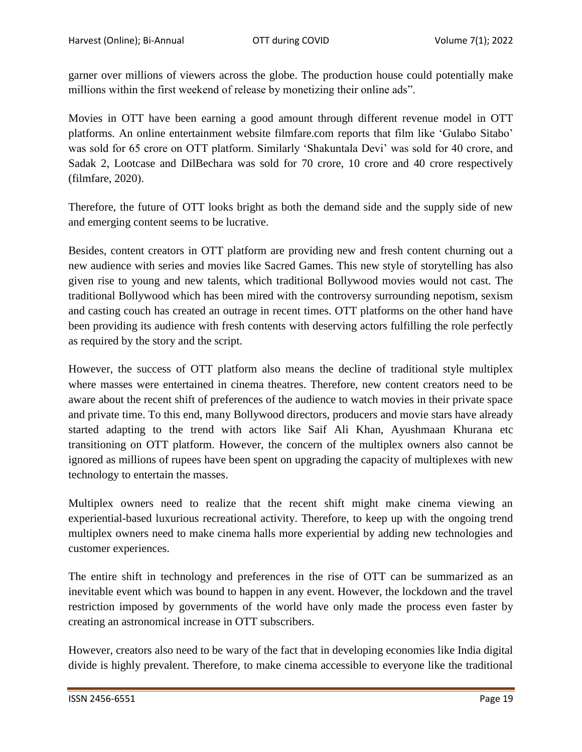garner over millions of viewers across the globe. The production house could potentially make millions within the first weekend of release by monetizing their online ads".

Movies in OTT have been earning a good amount through different revenue model in OTT platforms. An online entertainment website filmfare.com reports that film like "Gulabo Sitabo" was sold for 65 crore on OTT platform. Similarly "Shakuntala Devi" was sold for 40 crore, and Sadak 2, Lootcase and DilBechara was sold for 70 crore, 10 crore and 40 crore respectively (filmfare, 2020).

Therefore, the future of OTT looks bright as both the demand side and the supply side of new and emerging content seems to be lucrative.

Besides, content creators in OTT platform are providing new and fresh content churning out a new audience with series and movies like Sacred Games. This new style of storytelling has also given rise to young and new talents, which traditional Bollywood movies would not cast. The traditional Bollywood which has been mired with the controversy surrounding nepotism, sexism and casting couch has created an outrage in recent times. OTT platforms on the other hand have been providing its audience with fresh contents with deserving actors fulfilling the role perfectly as required by the story and the script.

However, the success of OTT platform also means the decline of traditional style multiplex where masses were entertained in cinema theatres. Therefore, new content creators need to be aware about the recent shift of preferences of the audience to watch movies in their private space and private time. To this end, many Bollywood directors, producers and movie stars have already started adapting to the trend with actors like Saif Ali Khan, Ayushmaan Khurana etc transitioning on OTT platform. However, the concern of the multiplex owners also cannot be ignored as millions of rupees have been spent on upgrading the capacity of multiplexes with new technology to entertain the masses.

Multiplex owners need to realize that the recent shift might make cinema viewing an experiential-based luxurious recreational activity. Therefore, to keep up with the ongoing trend multiplex owners need to make cinema halls more experiential by adding new technologies and customer experiences.

The entire shift in technology and preferences in the rise of OTT can be summarized as an inevitable event which was bound to happen in any event. However, the lockdown and the travel restriction imposed by governments of the world have only made the process even faster by creating an astronomical increase in OTT subscribers.

However, creators also need to be wary of the fact that in developing economies like India digital divide is highly prevalent. Therefore, to make cinema accessible to everyone like the traditional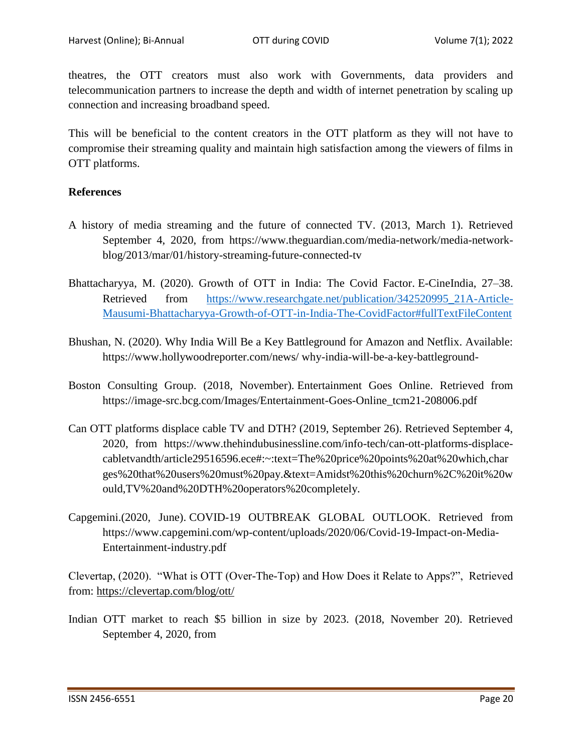theatres, the OTT creators must also work with Governments, data providers and telecommunication partners to increase the depth and width of internet penetration by scaling up connection and increasing broadband speed.

This will be beneficial to the content creators in the OTT platform as they will not have to compromise their streaming quality and maintain high satisfaction among the viewers of films in OTT platforms.

#### **References**

- A history of media streaming and the future of connected TV. (2013, March 1). Retrieved September 4, 2020, from https://www.theguardian.com/media-network/media-networkblog/2013/mar/01/history-streaming-future-connected-tv
- Bhattacharyya, M. (2020). Growth of OTT in India: The Covid Factor. E-CineIndia, 27–38. Retrieved from [https://www.researchgate.net/publication/342520995\\_21A-Article-](https://www.researchgate.net/publication/342520995_21A-Article-Mausumi-Bhattacharyya-Growth-of-OTT-in-India-The-CovidFactor#fullTextFileContent)[Mausumi-Bhattacharyya-Growth-of-OTT-in-India-The-CovidFactor#fullTextFileContent](https://www.researchgate.net/publication/342520995_21A-Article-Mausumi-Bhattacharyya-Growth-of-OTT-in-India-The-CovidFactor#fullTextFileContent)
- Bhushan, N. (2020). Why India Will Be a Key Battleground for Amazon and Netflix. Available: https://www.hollywoodreporter.com/news/ why-india-will-be-a-key-battleground-
- Boston Consulting Group. (2018, November). Entertainment Goes Online. Retrieved from [https://image-src.bcg.com/Images/Entertainment-Goes-Online\\_tcm21-208006.pdf](https://image-src.bcg.com/Images/Entertainment-Goes-Online_tcm21-208006.pdf)
- Can OTT platforms displace cable TV and DTH? (2019, September 26). Retrieved September 4, 2020, from https://www.thehindubusinessline.com/info-tech/can-ott-platforms-displacecabletvandth/article29516596.ece#:~:text=The%20price%20points%20at%20which,char ges%20that%20users%20must%20pay.&text=Amidst%20this%20churn%2C%20it%20w ould,TV%20and%20DTH%20operators%20completely.
- Capgemini.(2020, June). COVID-19 OUTBREAK GLOBAL OUTLOOK. Retrieved from [https://www.capgemini.com/wp-content/uploads/2020/06/Covid-19-Impact-on-Media-](https://www.capgemini.com/wp-content/uploads/2020/06/Covid-19-Impact-on-Media-Entertainment-industry.pdf)[Entertainment-industry.pdf](https://www.capgemini.com/wp-content/uploads/2020/06/Covid-19-Impact-on-Media-Entertainment-industry.pdf)

Clevertap, (2020). "What is OTT (Over-The-Top) and How Does it Relate to Apps?", Retrieved from:<https://clevertap.com/blog/ott/>

Indian OTT market to reach \$5 billion in size by 2023. (2018, November 20). Retrieved September 4, 2020, from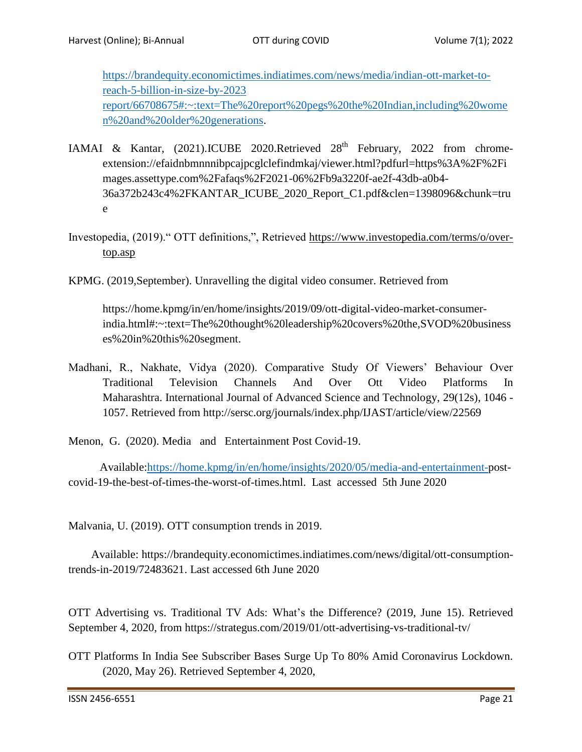[https://brandequity.economictimes.indiatimes.com/news/media/indian-ott-market-to](https://brandequity.economictimes.indiatimes.com/news/media/indian-ott-market-to-reach-5-billion-in-size-by-2023%20report/66708675#:~:text=The%20report%20pegs%20the%20Indian,including%20women%20and%20older%20generations)[reach-5-billion-in-size-by-2023](https://brandequity.economictimes.indiatimes.com/news/media/indian-ott-market-to-reach-5-billion-in-size-by-2023%20report/66708675#:~:text=The%20report%20pegs%20the%20Indian,including%20women%20and%20older%20generations) [report/66708675#:~:text=The%20report%20pegs%20the%20Indian,including%20wome](https://brandequity.economictimes.indiatimes.com/news/media/indian-ott-market-to-reach-5-billion-in-size-by-2023%20report/66708675#:~:text=The%20report%20pegs%20the%20Indian,including%20women%20and%20older%20generations) [n%20and%20older%20generations.](https://brandequity.economictimes.indiatimes.com/news/media/indian-ott-market-to-reach-5-billion-in-size-by-2023%20report/66708675#:~:text=The%20report%20pegs%20the%20Indian,including%20women%20and%20older%20generations)

- IAMAI & Kantar,  $(2021)$ .ICUBE 2020.Retrieved  $28<sup>th</sup>$  February, 2022 from chromeextension://efaidnbmnnnibpcajpcglclefindmkaj/viewer.html?pdfurl=https%3A%2F%2Fi mages.assettype.com%2Fafaqs%2F2021-06%2Fb9a3220f-ae2f-43db-a0b4- 36a372b243c4%2FKANTAR\_ICUBE\_2020\_Report\_C1.pdf&clen=1398096&chunk=tru e
- Investopedia, (2019)." OTT definitions,", Retrieved [https://www.investopedia.com/terms/o/over](https://www.investopedia.com/terms/o/over-top.asp)[top.asp](https://www.investopedia.com/terms/o/over-top.asp)
- KPMG. (2019,September). Unravelling the digital video consumer. Retrieved from

 https://home.kpmg/in/en/home/insights/2019/09/ott-digital-video-market-consumerindia.html#:~:text=The%20thought%20leadership%20covers%20the,SVOD%20business es%20in%20this%20segment.

- Madhani, R., Nakhate, Vidya (2020). Comparative Study Of Viewers" Behaviour Over Traditional Television Channels And Over Ott Video Platforms In Maharashtra. International Journal of Advanced Science and Technology, 29(12s), 1046 - 1057. Retrieved from http://sersc.org/journals/index.php/IJAST/article/view/22569
- Menon, G. (2020). Media and Entertainment Post Covid-19.

 Available[:https://home.kpmg/in/en/home/insights/2020/05/media-and-entertainment-p](https://home.kpmg/in/en/home/insights/2020/05/media-and-entertainment-)ostcovid-19-the-best-of-times-the-worst-of-times.html. Last accessed 5th June 2020

Malvania, U. (2019). OTT consumption trends in 2019.

 Available: https://brandequity.economictimes.indiatimes.com/news/digital/ott-consumptiontrends-in-2019/72483621. Last accessed 6th June 2020

OTT Advertising vs. Traditional TV Ads: What"s the Difference? (2019, June 15). Retrieved September 4, 2020, from https://strategus.com/2019/01/ott-advertising-vs-traditional-tv/

OTT Platforms In India See Subscriber Bases Surge Up To 80% Amid Coronavirus Lockdown. (2020, May 26). Retrieved September 4, 2020,